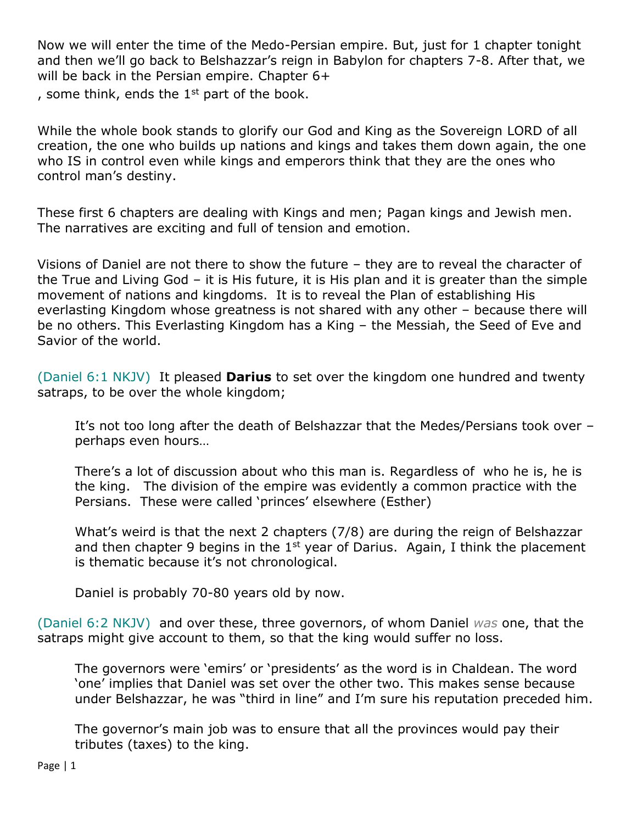Now we will enter the time of the Medo-Persian empire. But, just for 1 chapter tonight and then we'll go back to Belshazzar's reign in Babylon for chapters 7-8. After that, we will be back in the Persian empire. Chapter 6+

, some think, ends the  $1<sup>st</sup>$  part of the book.

While the whole book stands to glorify our God and King as the Sovereign LORD of all creation, the one who builds up nations and kings and takes them down again, the one who IS in control even while kings and emperors think that they are the ones who control man's destiny.

These first 6 chapters are dealing with Kings and men; Pagan kings and Jewish men. The narratives are exciting and full of tension and emotion.

Visions of Daniel are not there to show the future – they are to reveal the character of the True and Living God – it is His future, it is His plan and it is greater than the simple movement of nations and kingdoms. It is to reveal the Plan of establishing His everlasting Kingdom whose greatness is not shared with any other – because there will be no others. This Everlasting Kingdom has a King – the Messiah, the Seed of Eve and Savior of the world.

(Daniel 6:1 NKJV) It pleased **Darius** to set over the kingdom one hundred and twenty satraps, to be over the whole kingdom;

It's not too long after the death of Belshazzar that the Medes/Persians took over – perhaps even hours…

There's a lot of discussion about who this man is. Regardless of who he is, he is the king. The division of the empire was evidently a common practice with the Persians. These were called 'princes' elsewhere (Esther)

What's weird is that the next 2 chapters (7/8) are during the reign of Belshazzar and then chapter 9 begins in the  $1<sup>st</sup>$  year of Darius. Again, I think the placement is thematic because it's not chronological.

Daniel is probably 70-80 years old by now.

(Daniel 6:2 NKJV) and over these, three governors, of whom Daniel *was* one, that the satraps might give account to them, so that the king would suffer no loss.

The governors were 'emirs' or 'presidents' as the word is in Chaldean. The word 'one' implies that Daniel was set over the other two. This makes sense because under Belshazzar, he was "third in line" and I'm sure his reputation preceded him.

The governor's main job was to ensure that all the provinces would pay their tributes (taxes) to the king.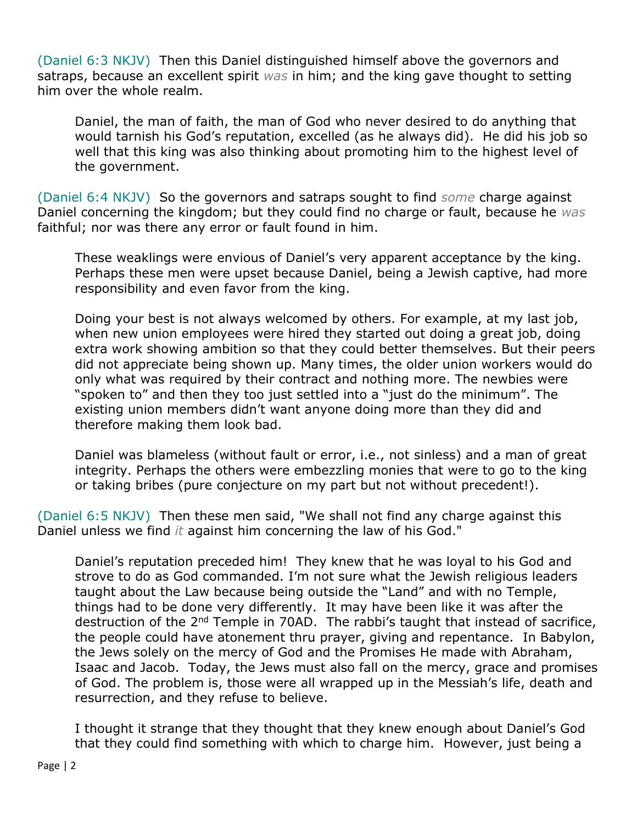(Daniel 6:3 NKJV) Then this Daniel distinguished himself above the governors and satraps, because an excellent spirit *was* in him; and the king gave thought to setting him over the whole realm.

Daniel, the man of faith, the man of God who never desired to do anything that would tarnish his God's reputation, excelled (as he always did). He did his job so well that this king was also thinking about promoting him to the highest level of the government.

(Daniel 6:4 NKJV) So the governors and satraps sought to find *some* charge against Daniel concerning the kingdom; but they could find no charge or fault, because he *was* faithful; nor was there any error or fault found in him.

These weaklings were envious of Daniel's very apparent acceptance by the king. Perhaps these men were upset because Daniel, being a Jewish captive, had more responsibility and even favor from the king.

Doing your best is not always welcomed by others. For example, at my last job, when new union employees were hired they started out doing a great job, doing extra work showing ambition so that they could better themselves. But their peers did not appreciate being shown up. Many times, the older union workers would do only what was required by their contract and nothing more. The newbies were "spoken to" and then they too just settled into a "just do the minimum". The existing union members didn't want anyone doing more than they did and therefore making them look bad.

Daniel was blameless (without fault or error, i.e., not sinless) and a man of great integrity. Perhaps the others were embezzling monies that were to go to the king or taking bribes (pure conjecture on my part but not without precedent!).

(Daniel 6:5 NKJV) Then these men said, "We shall not find any charge against this Daniel unless we find *it* against him concerning the law of his God."

Daniel's reputation preceded him! They knew that he was loyal to his God and strove to do as God commanded. I'm not sure what the Jewish religious leaders taught about the Law because being outside the "Land" and with no Temple, things had to be done very differently. It may have been like it was after the destruction of the 2nd Temple in 70AD. The rabbi's taught that instead of sacrifice, the people could have atonement thru prayer, giving and repentance. In Babylon, the Jews solely on the mercy of God and the Promises He made with Abraham, Isaac and Jacob. Today, the Jews must also fall on the mercy, grace and promises of God. The problem is, those were all wrapped up in the Messiah's life, death and resurrection, and they refuse to believe.

I thought it strange that they thought that they knew enough about Daniel's God that they could find something with which to charge him. However, just being a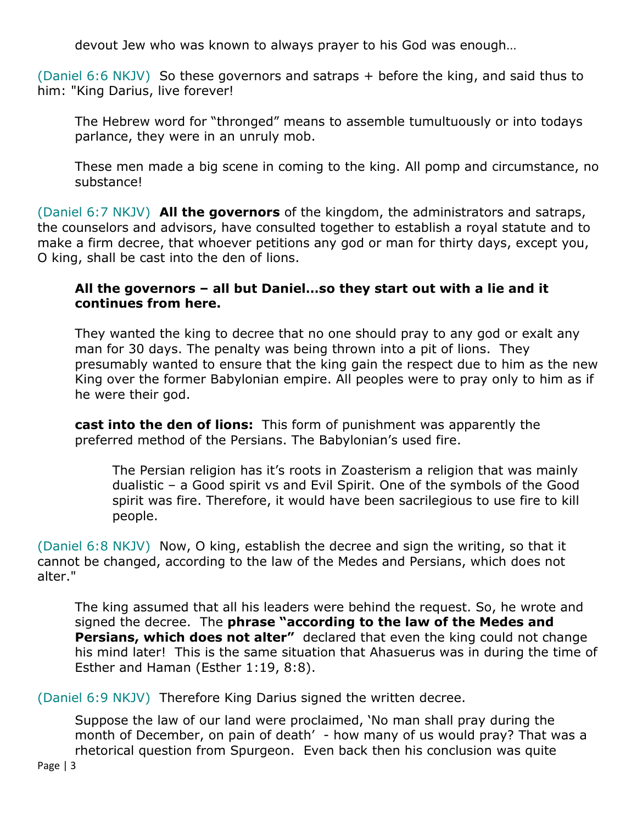devout Jew who was known to always prayer to his God was enough…

(Daniel 6:6 NKJV) So these governors and satraps + before the king, and said thus to him: "King Darius, live forever!

The Hebrew word for "thronged" means to assemble tumultuously or into todays parlance, they were in an unruly mob.

These men made a big scene in coming to the king. All pomp and circumstance, no substance!

(Daniel 6:7 NKJV) **All the governors** of the kingdom, the administrators and satraps, the counselors and advisors, have consulted together to establish a royal statute and to make a firm decree, that whoever petitions any god or man for thirty days, except you, O king, shall be cast into the den of lions.

## **All the governors – all but Daniel…so they start out with a lie and it continues from here.**

They wanted the king to decree that no one should pray to any god or exalt any man for 30 days. The penalty was being thrown into a pit of lions. They presumably wanted to ensure that the king gain the respect due to him as the new King over the former Babylonian empire. All peoples were to pray only to him as if he were their god.

**cast into the den of lions:** This form of punishment was apparently the preferred method of the Persians. The Babylonian's used fire.

The Persian religion has it's roots in Zoasterism a religion that was mainly dualistic – a Good spirit vs and Evil Spirit. One of the symbols of the Good spirit was fire. Therefore, it would have been sacrilegious to use fire to kill people.

(Daniel 6:8 NKJV) Now, O king, establish the decree and sign the writing, so that it cannot be changed, according to the law of the Medes and Persians, which does not alter."

The king assumed that all his leaders were behind the request. So, he wrote and signed the decree. The **phrase "according to the law of the Medes and Persians, which does not alter"** declared that even the king could not change his mind later! This is the same situation that Ahasuerus was in during the time of Esther and Haman (Esther 1:19, 8:8).

(Daniel 6:9 NKJV) Therefore King Darius signed the written decree.

Suppose the law of our land were proclaimed, 'No man shall pray during the month of December, on pain of death' - how many of us would pray? That was a rhetorical question from Spurgeon. Even back then his conclusion was quite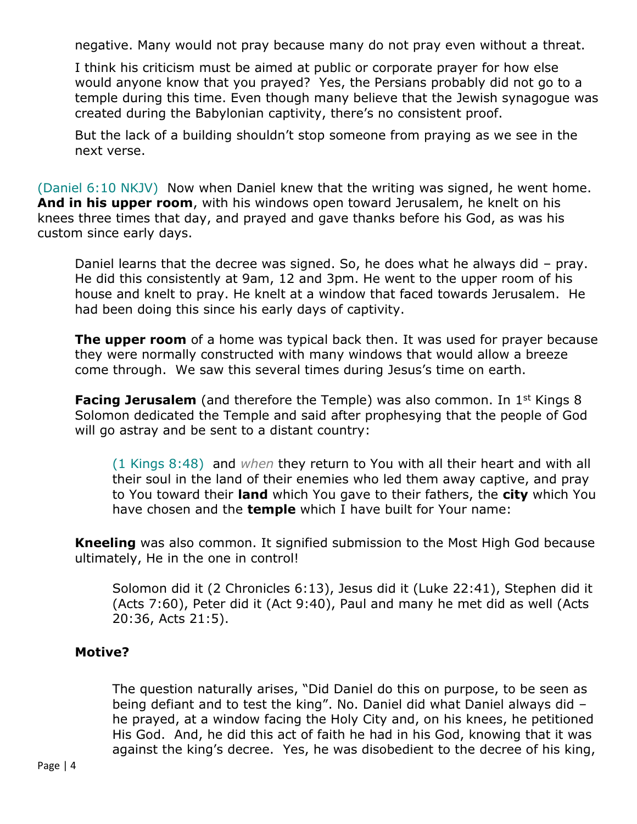negative. Many would not pray because many do not pray even without a threat.

I think his criticism must be aimed at public or corporate prayer for how else would anyone know that you prayed? Yes, the Persians probably did not go to a temple during this time. Even though many believe that the Jewish synagogue was created during the Babylonian captivity, there's no consistent proof.

But the lack of a building shouldn't stop someone from praying as we see in the next verse.

(Daniel 6:10 NKJV) Now when Daniel knew that the writing was signed, he went home. **And in his upper room**, with his windows open toward Jerusalem, he knelt on his knees three times that day, and prayed and gave thanks before his God, as was his custom since early days.

Daniel learns that the decree was signed. So, he does what he always did – pray. He did this consistently at 9am, 12 and 3pm. He went to the upper room of his house and knelt to pray. He knelt at a window that faced towards Jerusalem. He had been doing this since his early days of captivity.

**The upper room** of a home was typical back then. It was used for prayer because they were normally constructed with many windows that would allow a breeze come through. We saw this several times during Jesus's time on earth.

**Facing Jerusalem** (and therefore the Temple) was also common. In 1<sup>st</sup> Kings 8 Solomon dedicated the Temple and said after prophesying that the people of God will go astray and be sent to a distant country:

(1 Kings 8:48) and *when* they return to You with all their heart and with all their soul in the land of their enemies who led them away captive, and pray to You toward their **land** which You gave to their fathers, the **city** which You have chosen and the **temple** which I have built for Your name:

**Kneeling** was also common. It signified submission to the Most High God because ultimately, He in the one in control!

Solomon did it (2 Chronicles 6:13), Jesus did it (Luke 22:41), Stephen did it (Acts 7:60), Peter did it (Act 9:40), Paul and many he met did as well (Acts 20:36, Acts 21:5).

## **Motive?**

The question naturally arises, "Did Daniel do this on purpose, to be seen as being defiant and to test the king". No. Daniel did what Daniel always did – he prayed, at a window facing the Holy City and, on his knees, he petitioned His God. And, he did this act of faith he had in his God, knowing that it was against the king's decree. Yes, he was disobedient to the decree of his king,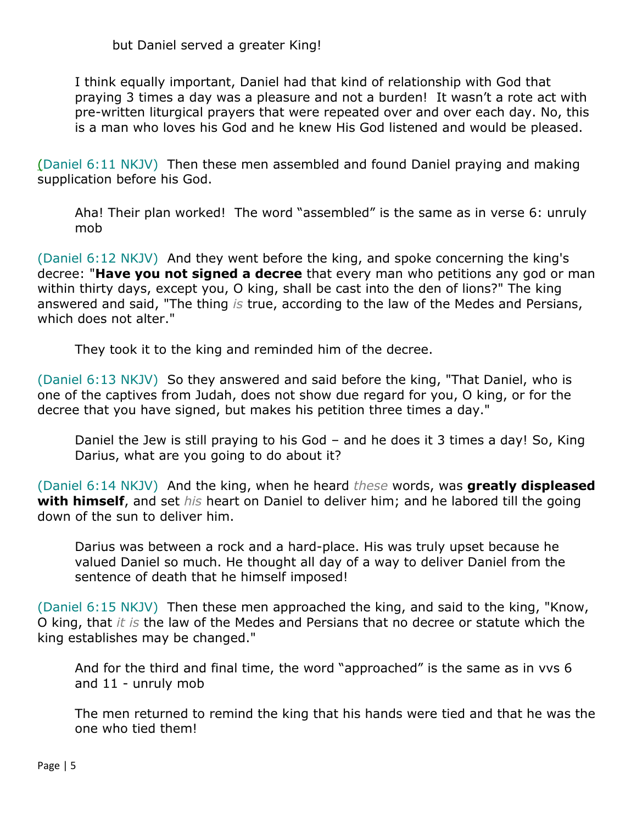I think equally important, Daniel had that kind of relationship with God that praying 3 times a day was a pleasure and not a burden! It wasn't a rote act with pre-written liturgical prayers that were repeated over and over each day. No, this is a man who loves his God and he knew His God listened and would be pleased.

(Daniel 6:11 NKJV) Then these men assembled and found Daniel praying and making supplication before his God.

Aha! Their plan worked! The word "assembled" is the same as in verse 6: unruly mob

(Daniel 6:12 NKJV) And they went before the king, and spoke concerning the king's decree: "**Have you not signed a decree** that every man who petitions any god or man within thirty days, except you, O king, shall be cast into the den of lions?" The king answered and said, "The thing *is* true, according to the law of the Medes and Persians, which does not alter."

They took it to the king and reminded him of the decree.

(Daniel 6:13 NKJV) So they answered and said before the king, "That Daniel, who is one of the captives from Judah, does not show due regard for you, O king, or for the decree that you have signed, but makes his petition three times a day."

Daniel the Jew is still praying to his God – and he does it 3 times a day! So, King Darius, what are you going to do about it?

(Daniel 6:14 NKJV) And the king, when he heard *these* words, was **greatly displeased with himself**, and set *his* heart on Daniel to deliver him; and he labored till the going down of the sun to deliver him.

Darius was between a rock and a hard-place. His was truly upset because he valued Daniel so much. He thought all day of a way to deliver Daniel from the sentence of death that he himself imposed!

(Daniel 6:15 NKJV) Then these men approached the king, and said to the king, "Know, O king, that *it is* the law of the Medes and Persians that no decree or statute which the king establishes may be changed."

And for the third and final time, the word "approached" is the same as in vvs 6 and 11 - unruly mob

The men returned to remind the king that his hands were tied and that he was the one who tied them!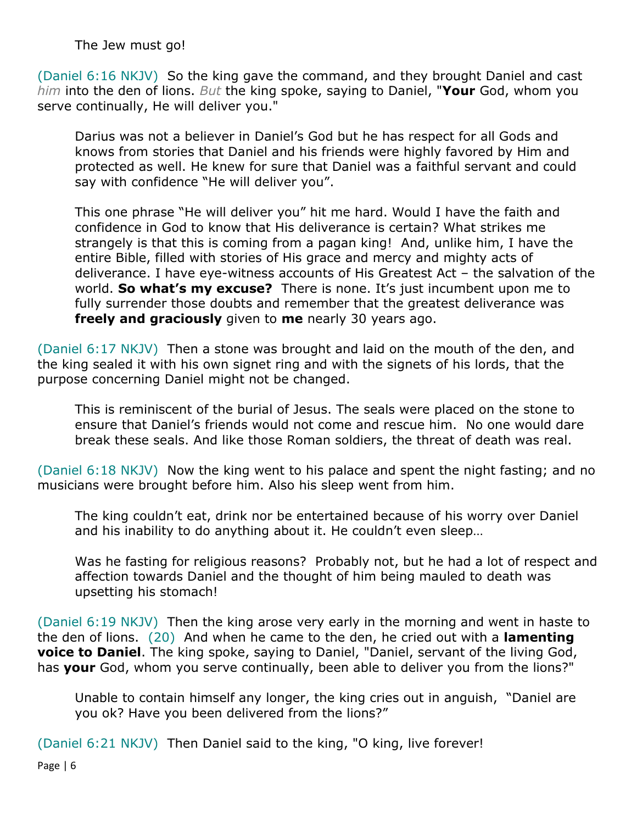The Jew must go!

(Daniel 6:16 NKJV) So the king gave the command, and they brought Daniel and cast *him* into the den of lions. *But* the king spoke, saying to Daniel, "**Your** God, whom you serve continually, He will deliver you."

Darius was not a believer in Daniel's God but he has respect for all Gods and knows from stories that Daniel and his friends were highly favored by Him and protected as well. He knew for sure that Daniel was a faithful servant and could say with confidence "He will deliver you".

This one phrase "He will deliver you" hit me hard. Would I have the faith and confidence in God to know that His deliverance is certain? What strikes me strangely is that this is coming from a pagan king! And, unlike him, I have the entire Bible, filled with stories of His grace and mercy and mighty acts of deliverance. I have eye-witness accounts of His Greatest Act – the salvation of the world. **So what's my excuse?** There is none. It's just incumbent upon me to fully surrender those doubts and remember that the greatest deliverance was **freely and graciously** given to **me** nearly 30 years ago.

(Daniel 6:17 NKJV) Then a stone was brought and laid on the mouth of the den, and the king sealed it with his own signet ring and with the signets of his lords, that the purpose concerning Daniel might not be changed.

This is reminiscent of the burial of Jesus. The seals were placed on the stone to ensure that Daniel's friends would not come and rescue him. No one would dare break these seals. And like those Roman soldiers, the threat of death was real.

(Daniel 6:18 NKJV) Now the king went to his palace and spent the night fasting; and no musicians were brought before him. Also his sleep went from him.

The king couldn't eat, drink nor be entertained because of his worry over Daniel and his inability to do anything about it. He couldn't even sleep…

Was he fasting for religious reasons? Probably not, but he had a lot of respect and affection towards Daniel and the thought of him being mauled to death was upsetting his stomach!

(Daniel 6:19 NKJV) Then the king arose very early in the morning and went in haste to the den of lions. (20) And when he came to the den, he cried out with a **lamenting voice to Daniel**. The king spoke, saying to Daniel, "Daniel, servant of the living God, has **your** God, whom you serve continually, been able to deliver you from the lions?"

Unable to contain himself any longer, the king cries out in anguish, "Daniel are you ok? Have you been delivered from the lions?"

(Daniel 6:21 NKJV) Then Daniel said to the king, "O king, live forever!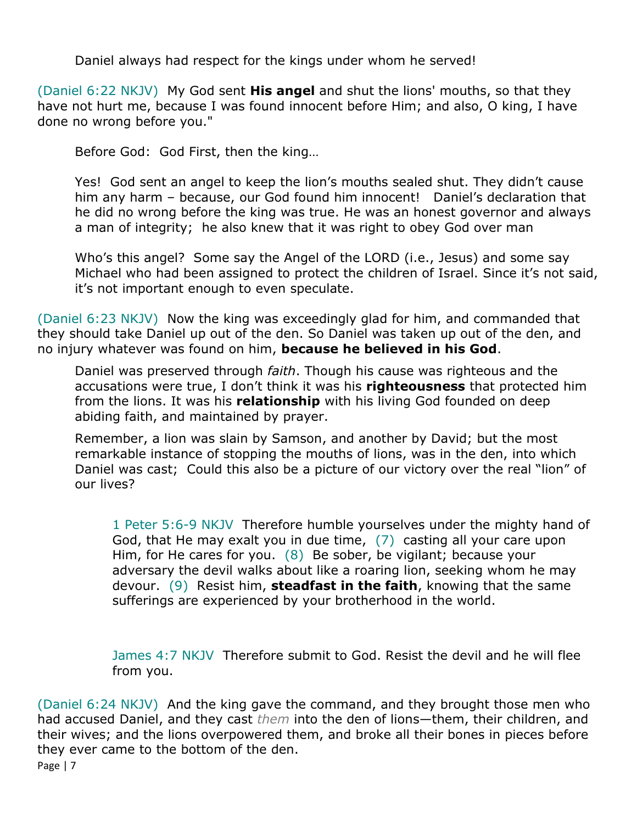Daniel always had respect for the kings under whom he served!

(Daniel 6:22 NKJV) My God sent **His angel** and shut the lions' mouths, so that they have not hurt me, because I was found innocent before Him; and also, O king, I have done no wrong before you."

Before God: God First, then the king…

Yes! God sent an angel to keep the lion's mouths sealed shut. They didn't cause him any harm – because, our God found him innocent! Daniel's declaration that he did no wrong before the king was true. He was an honest governor and always a man of integrity; he also knew that it was right to obey God over man

Who's this angel? Some say the Angel of the LORD (i.e., Jesus) and some say Michael who had been assigned to protect the children of Israel. Since it's not said, it's not important enough to even speculate.

(Daniel 6:23 NKJV) Now the king was exceedingly glad for him, and commanded that they should take Daniel up out of the den. So Daniel was taken up out of the den, and no injury whatever was found on him, **because he believed in his God**.

Daniel was preserved through *faith*. Though his cause was righteous and the accusations were true, I don't think it was his **righteousness** that protected him from the lions. It was his **relationship** with his living God founded on deep abiding faith, and maintained by prayer.

Remember, a lion was slain by Samson, and another by David; but the most remarkable instance of stopping the mouths of lions, was in the den, into which Daniel was cast; Could this also be a picture of our victory over the real "lion" of our lives?

1 Peter 5:6-9 NKJV Therefore humble yourselves under the mighty hand of God, that He may exalt you in due time, (7) casting all your care upon Him, for He cares for you. (8) Be sober, be vigilant; because your adversary the devil walks about like a roaring lion, seeking whom he may devour. (9) Resist him, **steadfast in the faith**, knowing that the same sufferings are experienced by your brotherhood in the world.

James 4:7 NKJV Therefore submit to God. Resist the devil and he will flee from you.

Page | 7 (Daniel 6:24 NKJV) And the king gave the command, and they brought those men who had accused Daniel, and they cast *them* into the den of lions—them, their children, and their wives; and the lions overpowered them, and broke all their bones in pieces before they ever came to the bottom of the den.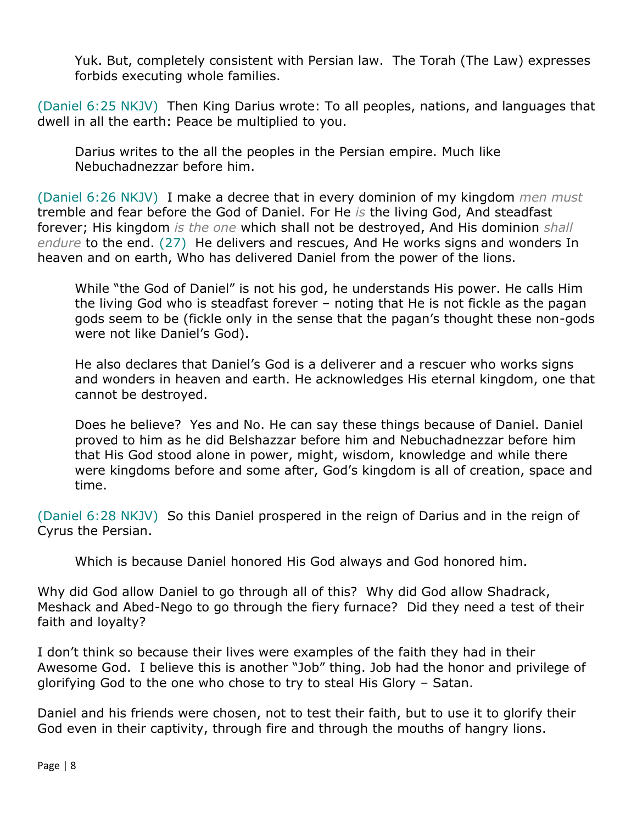Yuk. But, completely consistent with Persian law. The Torah (The Law) expresses forbids executing whole families.

(Daniel 6:25 NKJV) Then King Darius wrote: To all peoples, nations, and languages that dwell in all the earth: Peace be multiplied to you.

Darius writes to the all the peoples in the Persian empire. Much like Nebuchadnezzar before him.

(Daniel 6:26 NKJV) I make a decree that in every dominion of my kingdom *men must* tremble and fear before the God of Daniel. For He *is* the living God, And steadfast forever; His kingdom *is the one* which shall not be destroyed, And His dominion *shall endure* to the end. (27) He delivers and rescues, And He works signs and wonders In heaven and on earth, Who has delivered Daniel from the power of the lions.

While "the God of Daniel" is not his god, he understands His power. He calls Him the living God who is steadfast forever – noting that He is not fickle as the pagan gods seem to be (fickle only in the sense that the pagan's thought these non-gods were not like Daniel's God).

He also declares that Daniel's God is a deliverer and a rescuer who works signs and wonders in heaven and earth. He acknowledges His eternal kingdom, one that cannot be destroyed.

Does he believe? Yes and No. He can say these things because of Daniel. Daniel proved to him as he did Belshazzar before him and Nebuchadnezzar before him that His God stood alone in power, might, wisdom, knowledge and while there were kingdoms before and some after, God's kingdom is all of creation, space and time.

(Daniel 6:28 NKJV) So this Daniel prospered in the reign of Darius and in the reign of Cyrus the Persian.

Which is because Daniel honored His God always and God honored him.

Why did God allow Daniel to go through all of this? Why did God allow Shadrack, Meshack and Abed-Nego to go through the fiery furnace? Did they need a test of their faith and loyalty?

I don't think so because their lives were examples of the faith they had in their Awesome God. I believe this is another "Job" thing. Job had the honor and privilege of glorifying God to the one who chose to try to steal His Glory – Satan.

Daniel and his friends were chosen, not to test their faith, but to use it to glorify their God even in their captivity, through fire and through the mouths of hangry lions.